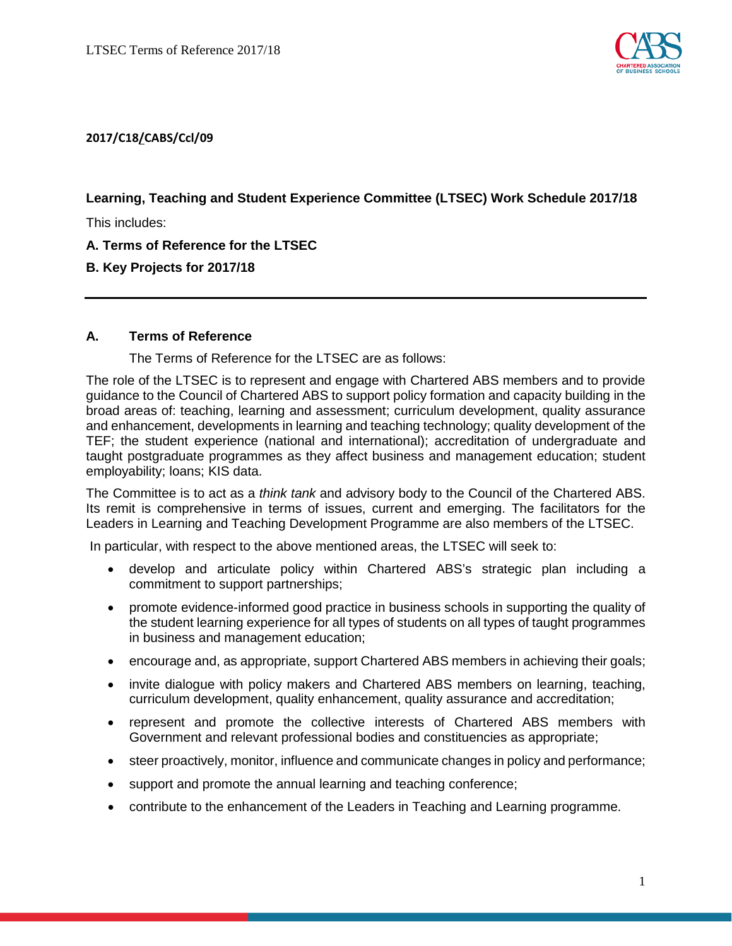

## **2017/C18/CABS/Ccl/09**

**Learning, Teaching and Student Experience Committee (LTSEC) Work Schedule 2017/18**

This includes:

**A. Terms of Reference for the LTSEC**

## **B. Key Projects for 2017/18**

## **A. Terms of Reference**

The Terms of Reference for the LTSEC are as follows:

The role of the LTSEC is to represent and engage with Chartered ABS members and to provide guidance to the Council of Chartered ABS to support policy formation and capacity building in the broad areas of: teaching, learning and assessment; curriculum development, quality assurance and enhancement, developments in learning and teaching technology; quality development of the TEF; the student experience (national and international); accreditation of undergraduate and taught postgraduate programmes as they affect business and management education; student employability; loans; KIS data.

The Committee is to act as a *think tank* and advisory body to the Council of the Chartered ABS. Its remit is comprehensive in terms of issues, current and emerging. The facilitators for the Leaders in Learning and Teaching Development Programme are also members of the LTSEC.

In particular, with respect to the above mentioned areas, the LTSEC will seek to:

- develop and articulate policy within Chartered ABS's strategic plan including a commitment to support partnerships;
- promote evidence-informed good practice in business schools in supporting the quality of the student learning experience for all types of students on all types of taught programmes in business and management education;
- encourage and, as appropriate, support Chartered ABS members in achieving their goals;
- invite dialogue with policy makers and Chartered ABS members on learning, teaching, curriculum development, quality enhancement, quality assurance and accreditation;
- represent and promote the collective interests of Chartered ABS members with Government and relevant professional bodies and constituencies as appropriate;
- steer proactively, monitor, influence and communicate changes in policy and performance;
- support and promote the annual learning and teaching conference;
- contribute to the enhancement of the Leaders in Teaching and Learning programme.